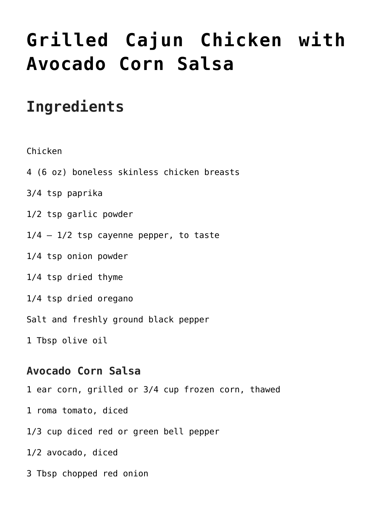## **[Grilled Cajun Chicken with](https://www.mamamiarecipes.com/grilled-cajun-chicken-with-avocado-corn-salsa/) [Avocado Corn Salsa](https://www.mamamiarecipes.com/grilled-cajun-chicken-with-avocado-corn-salsa/)**

## **Ingredients**

Chicken

- 4 (6 oz) boneless skinless chicken breasts
- 3/4 tsp paprika
- 1/2 tsp garlic powder
- $1/4 1/2$  tsp cayenne pepper, to taste
- 1/4 tsp onion powder
- 1/4 tsp dried thyme
- 1/4 tsp dried oregano
- Salt and freshly ground black pepper
- 1 Tbsp olive oil

## **Avocado Corn Salsa**

- 1 ear corn, grilled or 3/4 cup frozen corn, thawed
- 1 roma tomato, diced
- 1/3 cup diced red or green bell pepper
- 1/2 avocado, diced
- 3 Tbsp chopped red onion